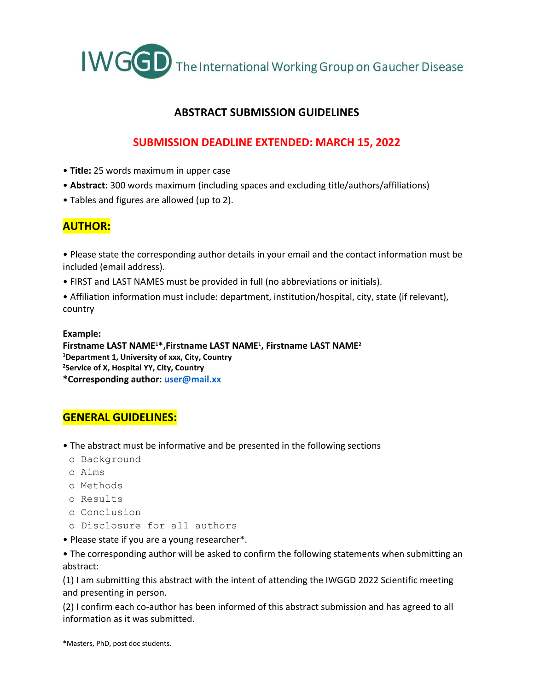

## **ABSTRACT SUBMISSION GUIDELINES**

## **SUBMISSION DEADLINE EXTENDED: MARCH 15, 2022**

- **Title:** 25 words maximum in upper case
- **Abstract:** 300 words maximum (including spaces and excluding title/authors/affiliations)
- Tables and figures are allowed (up to 2).

# **AUTHOR:**

• Please state the corresponding author details in your email and the contact information must be included (email address).

- FIRST and LAST NAMES must be provided in full (no abbreviations or initials).
- Affiliation information must include: department, institution/hospital, city, state (if relevant), country

#### **Example: Firstname LAST NAME1\*,Firstname LAST NAME<sup>1</sup> , Firstname LAST NAME<sup>2</sup> <sup>1</sup>Department 1, University of xxx, City, Country <sup>2</sup>Service of X, Hospital YY, City, Country \*Corresponding author: user@mail.xx**

## **GENERAL GUIDELINES:**

- The abstract must be informative and be presented in the following sections
- o Background
- o Aims
- o Methods
- o Results
- o Conclusion
- o Disclosure for all authors
- Please state if you are a young researcher\*.

• The corresponding author will be asked to confirm the following statements when submitting an abstract:

(1) I am submitting this abstract with the intent of attending the IWGGD 2022 Scientific meeting and presenting in person.

(2) I confirm each co-author has been informed of this abstract submission and has agreed to all information as it was submitted.